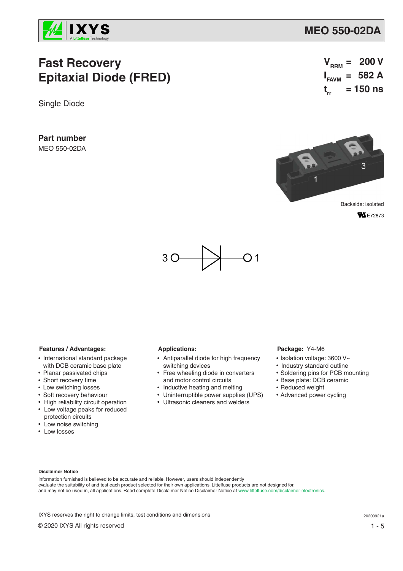

# **Fast Recovery Epitaxial Diode (FRED)**

Single Diode

**Part number**

MEO 550-02DA

$$
V_{\text{RRM}} = 200 V
$$
  

$$
I_{\text{FAVM}} = 582 A
$$
  

$$
t_{rr} = 150 ns
$$



**FN** E72873



#### **Features / Advantages:**

- International standard package with DCB ceramic base plate
- Planar passivated chips
- Short recovery time
- Low switching losses
- Soft recovery behaviour
- High reliability circuit operation • Low voltage peaks for reduced protection circuits
- Low noise switching
- Low losses

#### **Applications:**

- Antiparallel diode for high frequency switching devices
- Free wheeling diode in converters and motor control circuits
- Inductive heating and melting
- Uninterruptible power supplies (UPS)
- Ultrasonic cleaners and welders

#### **Package:** Y4-M6

- Isolation voltage: 3600 V~
- Industry standard outline
- Soldering pins for PCB mounting
- Base plate: DCB ceramic
- Reduced weight
- Advanced power cycling

#### **Disclaimer Notice**

Information furnished is believed to be accurate and reliable. However, users should independently evaluate the suitability of and test each product selected for their own applications. Littelfuse products are not designed for, and may not be used in, all applications. Read complete Disclaimer Notice Disclaimer Notice at www.littelfuse.com/disclaimer-electronics.

IXYS reserves the right to change limits, test conditions and dimensions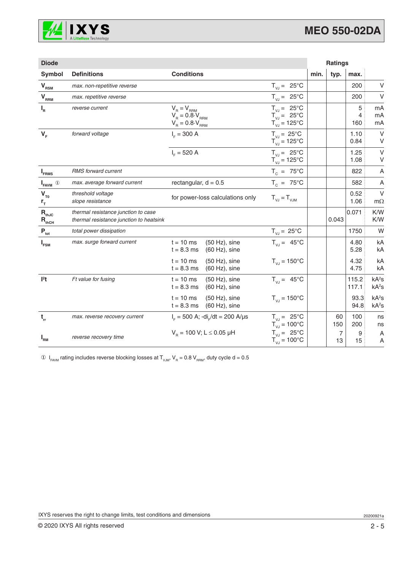

| <b>Diode</b>                             |                                                                                |                                                                           |                                                                                      |      | <b>Ratings</b>       |                |                                        |
|------------------------------------------|--------------------------------------------------------------------------------|---------------------------------------------------------------------------|--------------------------------------------------------------------------------------|------|----------------------|----------------|----------------------------------------|
| Symbol                                   | <b>Definitions</b>                                                             | <b>Conditions</b>                                                         |                                                                                      | min. | typ.                 | max.           |                                        |
| $V_{RSM}$                                | max. non-repetitive reverse                                                    |                                                                           | $T_{V,J} = 25^{\circ}C$                                                              |      |                      | 200            | V                                      |
| $V_{RRM}$                                | max. repetitive reverse                                                        |                                                                           | $T_{V,I} = 25^{\circ}C$                                                              |      |                      | 200            | V                                      |
| $I_R$                                    | reverse current                                                                | $V_B = V_{RRM}$<br>$V_R = 0.8 \cdot V_{RRM}$<br>$V_R = 0.8 \cdot V_{RRM}$ | $T_{V,J} = 25^{\circ}C$<br>$T_{VJ} = 25^{\circ}C$<br>$T_{\text{VJ}} = 125^{\circ}$ C |      |                      | 5<br>4<br>160  | mA<br>mA<br>mA                         |
| $V_F$                                    | forward voltage                                                                | $I_{E} = 300 A$                                                           | $T_{V,J} = 25^{\circ}C$<br>$T_{\text{VJ}} = 125^{\circ}C$                            |      |                      | 1.10<br>0.84   | $\vee$<br>V                            |
|                                          |                                                                                | $I_c = 520 A$                                                             | $T_{V,J} = 25^{\circ}C$<br>$T_{VJ} = 125^{\circ}C$                                   |      |                      | 1.25<br>1.08   | $\vee$<br>V                            |
| <b>I</b> <sub>FRMS</sub>                 | RMS forward current                                                            |                                                                           | $T_c = 75^{\circ}$ C                                                                 |      |                      | 822            | A                                      |
| $^\circledR$<br><b>I</b> <sub>FAVM</sub> | max. average forward current                                                   | rectangular, $d = 0.5$                                                    | $T_c = 75^{\circ}$ C                                                                 |      |                      | 582            | Α                                      |
| $V_{T0}$<br>$r_{\tau}$                   | threshold voltage<br>slope resistance                                          | for power-loss calculations only                                          | $T_{V,I} = T_{VJM}$                                                                  |      |                      | 0.52<br>1.06   | $\vee$<br>$m\Omega$                    |
| $R_{thJC}$<br>$R_{thCH}$                 | thermal resistance junction to case<br>thermal resistance junction to heatsink |                                                                           |                                                                                      |      | 0.043                | 0.071          | K/W<br>K/W                             |
| $P_{\rm tot}$                            | total power dissipation                                                        |                                                                           | $T_{VJ} = 25^{\circ}C$                                                               |      |                      | 1750           | W                                      |
| $I_{FSM}$                                | max. surge forward current                                                     | $t = 10$ ms<br>$(50 Hz)$ , sine<br>$t = 8.3$ ms<br>$(60 Hz)$ , sine       | $T_{V,J} = 45^{\circ}C$                                                              |      |                      | 4.80<br>5.28   | kA<br>kA                               |
|                                          |                                                                                | $t = 10$ ms<br>$(50 Hz)$ , sine<br>$t = 8.3$ ms<br>(60 Hz), sine          | $T_{VJ} = 150^{\circ}C$                                                              |      |                      | 4.32<br>4.75   | kA<br>kA                               |
| $l2$ t                                   | $l2t$ value for fusing                                                         | $t = 10$ ms<br>$(50 Hz)$ , sine<br>$t = 8.3$ ms<br>$(60 Hz)$ , sine       | $T_{V,J} = 45^{\circ}C$                                                              |      |                      | 115.2<br>117.1 | kA <sup>2</sup> S<br>kA <sup>2</sup> S |
|                                          |                                                                                | $t = 10$ ms<br>$(50 Hz)$ , sine<br>$t = 8.3$ ms<br>$(60 Hz)$ , sine       | $T_{V,I} = 150^{\circ}C$                                                             |      |                      | 93.3<br>94.8   | kA <sup>2</sup> S<br>kA <sup>2</sup> S |
| $\mathbf{t}_{\rm rr}$                    | max. reverse recovery current                                                  | $I_{\rm r}$ = 500 A; -di <sub>r</sub> /dt = 200 A/µs                      | $T_{V,J} = 25^{\circ}C$<br>$T_{VJ} = 100^{\circ}C$                                   |      | 60<br>150            | 100<br>200     | ns<br>ns                               |
| $I_{\rm RM}$                             | reverse recovery time                                                          | $V_B$ = 100 V; L $\leq$ 0.05 µH                                           | $T_{V,J} = 25^{\circ}C$<br>$T_{VJ} = 100^{\circ}C$                                   |      | $\overline{7}$<br>13 | 9<br>15        | Α<br>Α                                 |

 $\circledA$   $\mathsf{I}_{\mathsf{FAVM}}$  rating includes reverse blocking losses at  $\mathsf{T}_{\mathsf{VJM}}, \mathsf{V}_{\mathsf{R}} = 0.8 \mathsf{V}_{\mathsf{RRM}},$  duty cycle d = 0.5

IXYS reserves the right to change limits, test conditions and dimensions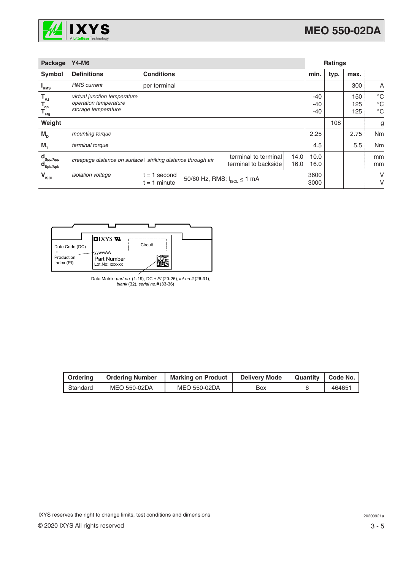

| Package                                                                            | <b>Y4-M6</b>                                                                 |                                                              |                                              | <b>Ratings</b> |                         |      |                   |                                           |
|------------------------------------------------------------------------------------|------------------------------------------------------------------------------|--------------------------------------------------------------|----------------------------------------------|----------------|-------------------------|------|-------------------|-------------------------------------------|
| Symbol                                                                             | <b>Definitions</b>                                                           | <b>Conditions</b>                                            |                                              |                | min.                    | typ. | max.              |                                           |
| <b>RMS</b>                                                                         | <b>RMS</b> current                                                           | per terminal                                                 |                                              |                |                         |      | 300               | A                                         |
| $T_{\mathsf{vJ}}$<br>$\mathsf{T}_{\hspace{-1.2ex}\textit{op}}$<br>$T_{\text{stg}}$ | virtual junction temperature<br>operation temperature<br>storage temperature |                                                              |                                              |                | $-40$<br>$-40$<br>$-40$ |      | 150<br>125<br>125 | $^{\circ}C$<br>$^{\circ}C$<br>$^{\circ}C$ |
| Weight                                                                             |                                                                              |                                                              |                                              |                |                         | 108  |                   | g                                         |
| $M_{\text{D}}$                                                                     | mounting torque                                                              |                                                              |                                              |                | 2.25                    |      | 2.75              | Nm                                        |
| $M_{\tau}$                                                                         | terminal torque                                                              |                                                              |                                              |                | 4.5                     |      | 5.5               | Nm                                        |
| $\mathbf{d}_{\mathsf{Spp/App}}$<br>$\mathbf{d}_{\mathsf{Spb/Apb}}$                 |                                                                              | creepage distance on surface   striking distance through air | terminal to terminal<br>terminal to backside | 14.0<br>16.0   | 10.0<br>16.0            |      |                   | mm<br>mm                                  |
| $V_{\text{\tiny{ISOL}}}$                                                           | <i>isolation</i> voltage                                                     | 1 second<br>$=$<br>$t = 1$ minute                            | 50/60 Hz, RMS; $I_{ISOL} \le 1$ mA           |                | 3600<br>3000            |      |                   | V<br>V                                    |



Data Matrix: *part no.* (1-19), DC + *PI* (20-25), *lot.no.#* (26-31), *blank* (32), *serial no.#* (33-36)

| Ordering | <b>Ordering Number</b> | <b>Marking on Product</b> | <b>Delivery Mode</b> | Quantity   Code No. |
|----------|------------------------|---------------------------|----------------------|---------------------|
| Standard | MEO 550-02DA           | MEO 550-02DA              | Box                  | 464651              |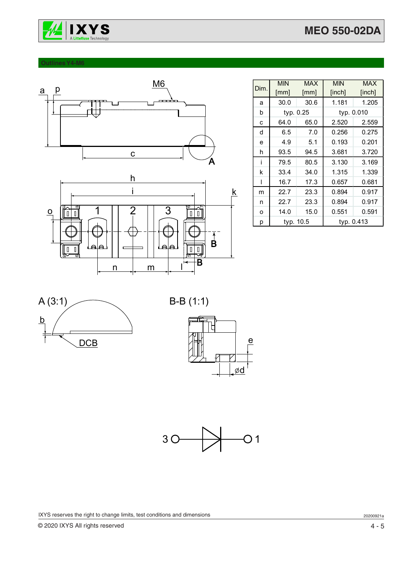



### **Outlines Y4-M6**





|      | <b>MIN</b> | <b>MAX</b> | <b>MIN</b> | <b>MAX</b> |  |
|------|------------|------------|------------|------------|--|
| Dim. | [mm]       | [mm]       | [inch]     | [inch]     |  |
| a    | 30.0       | 30.6       | 1.181      | 1.205      |  |
| b    |            | typ. 0.25  |            | typ. 0.010 |  |
| C    | 64.0       | 65.0       | 2.520      | 2.559      |  |
| d    | 6.5        | 7.0        | 0.256      | 0.275      |  |
| e    | 4.9        | 5.1        | 0.193      | 0.201      |  |
| h    | 93.5       | 94.5       | 3.681      | 3.720      |  |
| i    | 79.5       | 80.5       | 3.130      | 3.169      |  |
| k    | 33.4       | 34.0       | 1.315      | 1.339      |  |
| ı    | 16.7       | 17.3       | 0.657      | 0.681      |  |
| m    | 22.7       | 23.3       | 0.894      | 0.917      |  |
| n    | 22.7       | 23.3       | 0.894      | 0.917      |  |
| O    | 14.0       | 15.0       | 0.551      | 0.591      |  |
| p    | typ. 10.5  |            | typ. 0.413 |            |  |